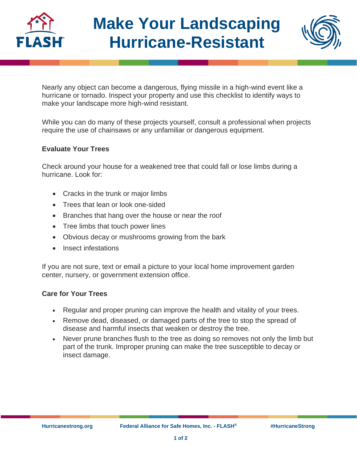



Nearly any object can become a dangerous, flying missile in a high-wind event like a hurricane or tornado. Inspect your property and use this checklist to identify ways to make your landscape more high-wind resistant.

While you can do many of these projects yourself, consult a professional when projects require the use of chainsaws or any unfamiliar or dangerous equipment.

## **Evaluate Your Trees**

Check around your house for a weakened tree that could fall or lose limbs during a hurricane. Look for:

- Cracks in the trunk or major limbs
- Trees that lean or look one-sided
- Branches that hang over the house or near the roof
- Tree limbs that touch power lines
- Obvious decay or mushrooms growing from the bark
- Insect infestations

If you are not sure, text or email a picture to your local home improvement garden center, nursery, or government extension office.

## **Care for Your Trees**

- Regular and proper pruning can improve the health and vitality of your trees.
- Remove dead, diseased, or damaged parts of the tree to stop the spread of disease and harmful insects that weaken or destroy the tree.
- Never prune branches flush to the tree as doing so removes not only the limb but part of the trunk. Improper pruning can make the tree susceptible to decay or insect damage.